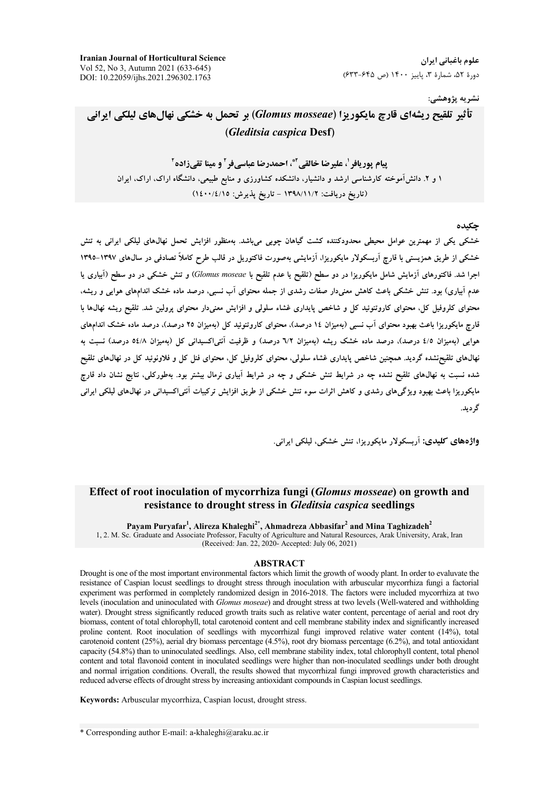علوم باغیانی ایران دورهٔ ۵۲، شمارهٔ ۳، پاییز ۱۴۰۰ (ص ۶۳۵-۶۳۳)

**Iranian Journal of Horticultural Science** Vol 52, No 3, Autumn 2021 (633-645) DOI: 10.22059/ijhs.2021.296302.1763

## نشريه پژوهشي:

# تأثير تلقيح ريشهاي قارچ مايكوريزا (Glomus mosseae) بر تحمل به خشكي نهالهاي ليلكي ايراني (Gleditsia caspica Desf)

يبام يوريافي ل عليرضا خالقي آ\*، احمدرضا عياسي في آ و مينا تقي زاده آ ۱ و ۲. دانش آموخته کارشناسی ارشد و دانشیار، دانشکده کشاورزی و منابع طبیعی، دانشگاه اراک، اراک، ایران (تاریخ دریافت: ١٣٩٨/١١/٢ - تاریخ پذیرش: ١٤٠٠/٤/١٥)

#### حكىدە

خشکی یکی از مهمترین عوامل محیطی محدودکننده کشت گیاهان چوبی میباشد. بهمنظور افزایش تحمل نهالهای لیلکی ایرانی به تنش خشکی از طریق همزیستی با قارچ آربسکولار مایکوریزا، آزمایشی بهصورت فاکتوریل در قالب طرح کاملاً تصادفی در سال@ای ۱۳۹۷-۱۳۹۵ اجرا شد. فاکتورهای آزمایش شامل مایکوریزا در دو سطح (تلقیح یا عدم تلقیح با Glomus moseae) و تنش خشکی در دو سطح (آبیاری یا عدم آبیاری) بود. تنش خشکی باعث کاهش معنیدار صفات رشدی از جمله محتوای آب نسبی، درصد ماده خشک اندامهای هوایی و ریشه، محتوای کلروفیل کل، محتوای کاروتنوئید کل و شاخص پایداری غشاء سلولی و افزایش معنیدار محتوای پرولین شد. تلقیح ریشه نهالها با ۔<br>قارح مایکوریزا باعث بھیود محتوای آپ نسب<sub>ی</sub> (بەمیزان ١٤ درصد)، محتوای کاروتنوئید کل (بەمیزان ٢٥ درصد)، درصد ماده خشک اندامهای هوایی (بهمیزان ٤/٥ درصد)، درصد ماده خشک ریشه (بهمیزان ٦/٢ درصد) و ظرفیت آنتی|کسیدانی کل (بهمیزان ٥٤/٨ درصد) نسبت به نهالهای تلقیحنشده گردید. همچنین شاخص پایداری غشاء سلولی، محتوای کلروفیل کل، محتوای فنل کل و فلاونوئید کل در نهالهای تلقیح شده نسبت به نهالهای تلقیح نشده چه در شرایط تنش خشکی و چه در شرایط آبیاری نرمال بیشتر بود. بهطورکلی، نتایج نشان داد قارچ مایکوریزا باعث بهبود ویژگیهای رشدی و کاهش اثرات سوء تنش خشکی از طریق افزایش ترکیبات آنتی|کسیدانی در نهال،های لیلکی ایرانی گر دىد.

واژههای کلیدی: آریسکولار مایکوریزا، تنش خشکی، لیلکی ایرانی.

### Effect of root inoculation of mycorrhiza fungi (*Glomus mosseae*) on growth and resistance to drought stress in *Gleditsia caspica* seedlings

Payam Puryafar<sup>1</sup>, Alireza Khaleghi<sup>2\*</sup>, Ahmadreza Abbasifar<sup>2</sup> and Mina Taghizadeh<sup>2</sup> 1, 2. M. Sc. Graduate and Associate Professor, Faculty of Agriculture and Natural Resources, Arak University, Arak, Iran (Received: Jan. 22, 2020- Accepted: July 06, 2021)

#### **ABSTRACT**

Drought is one of the most important environmental factors which limit the growth of woody plant. In order to evaluvate the resistance of Caspian locust seedlings to drought stress through inoculation with arbuscular mycorrhiza fungi a factorial experiment was performed in completely randomized design in 2016-2018. The factors were included mycorrhiza at two levels (inoculation and uninoculated with Glomus moseae) and drought stress at two levels (Well-watered and withholding water). Drought stress significantly reduced growth traits such as relative water content, percentage of aerial and root dry biomass, content of total chlorophyll, total carotenoid content and cell membrane stability index and significantly increased proline content. Root inoculation of seedlings with mycorrhizal fungi improved relative water content (14%), total carotenoid content (25%), aerial dry biomass percentage (4.5%), root dry biomass percentage (6.2%), and total antioxidant capacity (54.8%) than to uninoculated seedlings. Also, cell membrane stability index, total chlorophyll content, total phenol content and total flavonoid content in inoculated seedlings were higher than non-inoculated seedlings under both drought and normal irrigation conditions. Overall, the results showed that mycorrhizal fungi improved growth characteristics and reduced adverse effects of drought stress by increasing antioxidant compounds in Caspian locust seedlings.

Keywords: Arbuscular mycorrhiza, Caspian locust, drought stress.

\* Corresponding author E-mail: a-khaleghi@araku.ac.ir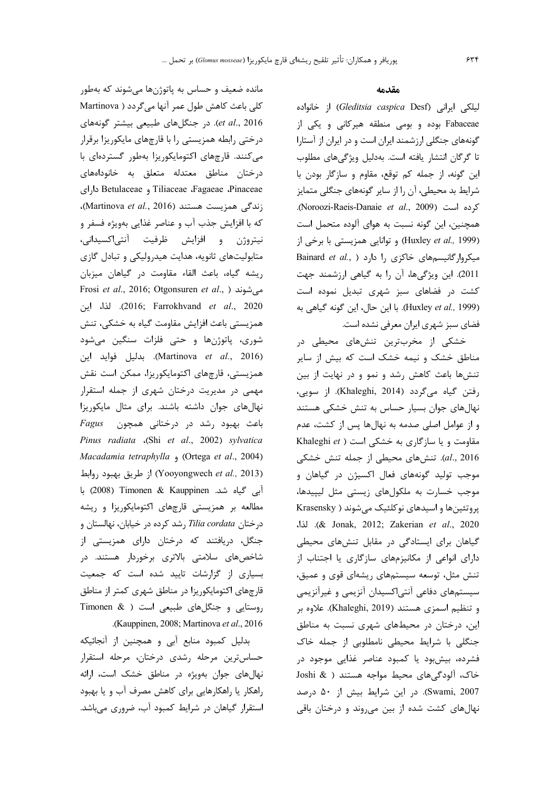مانده ضعیف و حساس به پاتوژنها میشوند که بهطور كلي باعث كاهش طول عمر آنها ميگردد ( Martinova et al., 2016). در جنگلهای طبیعی بیشتر گونههای درختی رابطه همزیستی را با قارچهای مایکوریزا برقرار می کنند. قارچهای اکتومایکوریزا بهطور گستردهای با درختان مناطق معتدله متعلق به خانوداههای Tiliaceae ،Fagaeae ،Pinaceae داراى .(ندگی همزیست هستند (Martinova et al., 2016) كه با افزايش جذب آب و عناصر غذايي بهويژه فسفر و نيتروژن و افزايش ظرفيت آنتي|كسيداني، متابولیتهای ثانویه، هدایت هیدرولیکی و تبادل گازی ريشه گياه، باعث القاء مقاومت در گياهان ميزبان Frosi et al., 2016; Otgonsuren et al., ) می شوند 2020). لذا، اين (2016; Farrokhvand et al., 2020 همزیستی باعث افزایش مقاومت گیاه به خشکی، تنش شوري، پاتوژنها و حتى فلزات سنگين مىشود (Martinova et al., 2016). بدليل فوايد اين همزیستی، قارچهای اکتومایکوریزا، ممکن است نقش مهمی در مدیریت درختان شهری از جمله استقرار نهال های جوان داشته باشند. برای مثال مایکوریزا Fagus باعث بهبود رشد در درختانی همچون Pinus radiata (Shi et al., 2002) sylvatica Macadamia tetraphylla , (Ortega et al., 2004) (Yooyongwech et al., 2013) از طریق بهبود روابط آبی گیاه شد. Zoo8) Timonen & Kauppinen با مطالعه بر همزیستی قارچهای اکتومایکوریزا و ریشه درختان Tilia cordata رشد كرده در خيابان، نهالستان و جنگل، دریافتند که درختان دارای همزیستی از شاخصهای سلامتی بالاتری برخوردار هستند. در بسیاری از گزارشات تایید شده است که جمعیت قارچهای اکتومایکوریزا در مناطق شهری کمتر از مناطق روستایی و جنگلهای طبیعی است ( Timonen & .(Kauppinen, 2008; Martinova et al., 2016).

بدلیل کمبود منابع آبی و همچنین از آنجائیکه حساس ترين مرحله رشدى درختان، مرحله استقرار نهال های جوان بهویژه در مناطق خشک است، ارائه راهکار یا راهکارهایی برای کاهش مصرف آب و یا بهبود استقرار گیاهان در شرایط کمبود آب، ضروری می باشد.

#### مقدمه

لیلکی ایرانی (Gleditsia caspica Desf) از خانواده Fabaceae بوده و بومی منطقه هیرکانی و یکی از گونههای جنگلی ارزشمند ایران است و در ایران از آستارا تا گرگان انتشار یافته است. بهدلیل ویژگیهای مطلوب این گونه، از جمله کم توقع، مقاوم و سازگار بودن با شرایط بد محیطی، آن را از سایر گونههای جنگلی متمایز كرده است (Noroozi-Raeis-Danaie et al., 2009). همچنین، این گونه نسبت به هوای آلوده متحمل است (Huxley et al., 1999) و توانايي همزيستي با برخي از Bainard et al., ) میکروارگانیسمهای خاکزی را دارد 2011). این ویژگیها، آن را به گیاهی ارزشمند جهت کشت در فضاهای سبز شهری تبدیل نموده است (Huxley et al., 1999). با این حال، این گونه گیاهی به فضای سبز شهری ایران معرفی نشده است.

خشکی از مخربترین تنشهای محیطی در مناطق خشک و نیمه خشک است که بیش از سایر تنشها باعث کاهش رشد و نمو و در نهایت از بین رفتن گیاه میگردد (Khaleghi, 2014). از سویی، نهالهای جوان بسیار حساس به تنش خشکی هستند و از عوامل اصلی صدمه به نهالها پس از کشت، عدم مقاومت و یا سازگاری به خشکی است ( Khaleghi et al., 2016). تنشهای محیطی از جمله تنش خشکی موجب تولید گونههای فعال اکسیژن در گیاهان و موجب خسارت به ملکولهای زیستی مثل لیپیدها، پروتئینها و اسیدهای نوکلئیک می شوند ( Krasensky .(& Jonak, 2012; Zakerian et al., 2020). لذا، گیاهان برای ایستادگی در مقابل تنشهای محیطی دارای انواعی از مکانیزمهای سازگاری یا اجتناب از تنش مثل، توسعه سیستمهای ریشهای قوی و عمیق، سیستمهای دفاعی آنتی|کسیدان آنزیمی و غیرآنزیمی و تنظيم اسمزي هستند (Khaleghi, 2019). علاوه بر این، درختان در محیطهای شهری نسبت به مناطق جنگلی با شرایط محیطی نامطلوبی از جمله خاک فشرده، بیشبود یا کمبود عناصر غذایی موجود در خاک، آلودگیهای محیط مواجه هستند ( & Joshi Swami, 2007). در این شرایط بیش از ۵۰ درصد نهالهای کشت شده از بین می روند و درختان باقی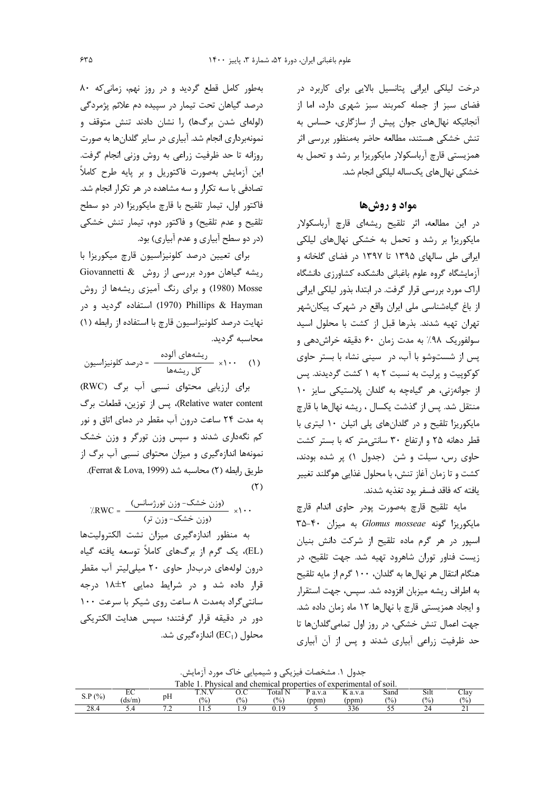درخت لیلکی ایرانی پتانسیل بالایی برای کاربرد در فضای سبز از جمله کمربند سبز شهری دارد، اما از آنجائیکه نهالهای جوان پیش از سازگاری، حساس به تنش خشکی هستند، مطالعه حاضر بهمنظور بررسی اثر همزیستی قارچ آرباسکولار مایکوریزا بر رشد و تحمل به خشکی نهال های یکساله لیلکی انجام شد.

## مواد و روش ها

در این مطالعه، اثر تلقیح ریشهای قارچ آرباسکولار مایکوریزا بر رشد و تحمل به خشکی نهالهای لیلکی ایرانی طی سالهای ۱۳۹۵ تا ۱۳۹۷ در فضای گلخانه و آزمایشگاه گروه علوم باغبانی دانشکده کشاورزی دانشگاه اراک مورد بررسی قرار گرفت. در ابتدا، بذور لیلکی ایرانی از باغ گیاهشناسی ملی ایران واقع در شهرک پیکانشهر تهران تهيه شدند. بذرها قبل از كشت با محلول اسيد سولفوریک ۹۸٪ به مدت زمان ۶۰ دقیقه خراش دهی و پس از شستوشو با آب، در سینی نشاء با بستر حاوی کوکوپیت و پرلیت به نسبت ۲ به ۱ کشت گردیدند. پس از جوانهزنی، هر گیاهچه به گلدان پلاستیکی سایز ١٠ منتقل شد. پس از گذشت یکسال ، ریشه نهالها با قارچ مایکوریزا تلقیح و در گلدانهای پلی اتیلن ۱۰ لیتری با قطر دهانه ۲۵ و ارتفاع ۳۰ سانتی متر که با بستر کشت حاوی رس، سیلت و شن (جدول ۱) پر شده بودند، كشت و تا زمان آغاز تنش، با محلول غذايي هوگلند تغيير يافته كه فاقد فسفر بود تغذيه شدند.

مايه تلقيح قارچ بهصورت پودر حاوى اندام قارچ A-۴۰ مایکوریزا گونه Glomus mosseae به میزان ۴۰-۳۵ اسيور در هر گرم ماده تلقيح از شركت دانش بنيان زیست فناور توران شاهرود تهیه شد. جهت تلقیح، در هنگام انتقال هر نهالها به گلدان، ۱۰۰ گرم از مایه تلقیح به اطراف ریشه میزبان افزوده شد. سپس، جهت استقرار و ایجاد همزیستی قارچ با نهالها ١٢ ماه زمان داده شد. جهت اعمال تنش خشکی، در روز اول تمامی گلدانها تا حد ظرفیت زراعی آبیاری شدند و پس از آن آبیاری

جدول ۱. مشخصات فیزیکی و شیمیایی خاک مورد آزمایش.

| able<br>. Physical and chemical properties of experimental of soil. |       |                          |                 |               |                |         |                      |      |               |                |
|---------------------------------------------------------------------|-------|--------------------------|-----------------|---------------|----------------|---------|----------------------|------|---------------|----------------|
| P(%                                                                 | LV.   | $\mathbf{Y}$             | m<br>N<br>1.14. | U.U           | Total N        | P a.v.a | a.v.a                | sand | Silt          | $\cup$ lav     |
| .J.T                                                                | (ds/m | pH                       | $\frac{10}{6}$  | $\frac{1}{2}$ | $\frac{10}{6}$ | ppm     | 'ppm                 | (%)  | $\frac{1}{2}$ | $\frac{10}{6}$ |
| 28.4                                                                |       | $\overline{\phantom{a}}$ | .               |               |                |         | $\mathcal{L}$<br>330 | ◡    | ∼             |                |

بهطور كامل قطع گرديد و در روز نهم، زمانى كه ٨٠ درصد گیاهان تحت تیمار در سپیده دم علائم پژمردگی (لولهای شدن برگها) را نشان دادند تنش متوقف و نمونهبرداری انجام شد. آبیاری در سایر گلدانها به صورت روزانه تا حد ظرفیت زراعی به روش وزنی انجام گرفت. این آزمایش بهصورت فاکتوریل و بر پایه طرح کاملاً تصادفی با سه تکرار و سه مشاهده در هر تکرار انجام شد. فاکتور اول، تیمار تلقیح با قارچ مایکوریزا (در دو سطح تلقيح و عدم تلقيح) و فاكتور دوم، تيمار تنش خشكي (در دو سطح آبیاری و عدم آبیاری) بود.

برای تعیین درصد کلونیزاسیون قارچ میکوریزا با ریشه گیاهان مورد بررسی از روش Giovannetti & Mosse (1980) و برای رنگ آمیزی ریشهها از روش ردر و در (1970) Phillips & Hayman نهایت درصد کلونیزاسیون قارچ با استفاده از رابطه (۱) محاسبه گردید.

برای ارزیابی محتوای نسبی آب برگ (RWC) Relative water content)، پس از توزین، قطعات برگ به مدت ۲۴ ساعت درون آب مقطر در دمای اتاق و نور کم نگهداری شدند و سپس وزن تورگر و وزن خشک نمونهها اندازهگیری و میزان محتوای نسبی آب برگ از طريق رابطه (٢) محاسبه شد (Ferrat & Lova, 1999).  $(5)$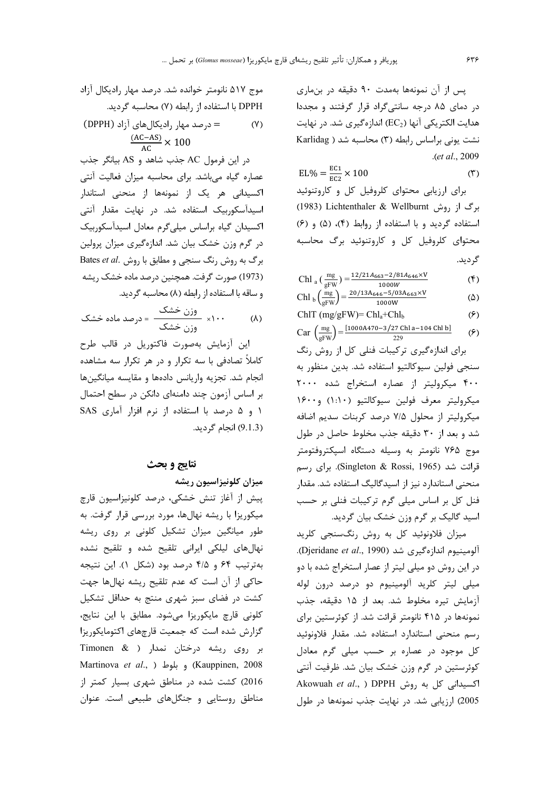یس از آن نمونهها بهمدت ۹۰ دقیقه در بنماری در دمای ۸۵ درجه سانتیگراد قرار گرفتند و مجددا هدایت الکتریکی آنها (EC2) اندازهگیری شد. در نهایت نشت یونی براساس رابطه (۳) محاسبه شد ( Karlidag .(et al., 2009

$$
EL\% = \frac{EC1}{EC2} \times 100
$$
 (۳)  
برای ارزیابی محتوای کلروفیل کل و کاروتنوئید

برگ از روش U983) Lichtenthaler & Wellburnt (1983 استفاده گردید و با استفاده از روابط (۴)، (۵) و (۶) محتوای کلروفیل کل و کاروتنوئید برگ محاسبه گر دید.

Chl<sub>a</sub> 
$$
\left(\frac{mg}{gFW}\right) = \frac{12/21A_{663} - 2/81A_{646} \times V}{1000W}
$$
 (°)  
Chl<sub>b</sub>  $\left(\frac{mg}{g}\right) = \frac{20/13A_{646} - 5/03A_{663} \times V}{1000W}$  (^)

h1<sub>b</sub> 
$$
\left(\frac{mg}{gFW}\right) = \frac{20/13R_{646} - 3/03R_{663} \wedge v}{1000W}
$$
 (2)

$$
\text{ChIT (mg/gFW)} = \text{Chl}_a + \text{Chl}_b \tag{5}
$$

Car  $\left(\frac{mg}{gFW}\right) = \frac{[1000A470 - 3/27 \text{ Chl a} - 104 \text{ Chl b}]}{229}$  $(5)$ 

برای اندازهگیری ترکیبات فنلی کل از روش رنگ سنجي فولين سيوكالتيو استفاده شد. بدين منظور به ۴۰۰ میکرولیتر از عصاره استخراج شده ۲۰۰۰ ميكروليتر معرف فولين سيوكالتيو (١٠١٠) و١۶٠٠ میکرولیتر از محلول ۷/۵ درصد کربنات سدیم اضافه شد و بعد از ۳۰ دقیقه جذب مخلوط حاصل در طول موج ۷۶۵ نانومتر به وسیله دستگاه اسپکتروفتومتر قرائت شد (Singleton & Rossi, 1965). برای رسم منحنی استاندارد نیز از اسیدگالیگ استفاده شد. مقدار فنل کل بر اساس میلی گرم ترکیبات فنلی بر حسب اسید گالیک بر گرم وزن خشک بیان گردید.

میزان فلاونوئید کل به روش رنگسنجی کلرید آلومینیوم اندازهگیری شد (Djeridane et al., 1990). در این روش دو میلی لیتر از عصار استخراج شده با دو میلی لیتر کلرید آلومینیوم دو درصد درون لوله آزمايش تيره مخلوط شد. بعد از ١۵ دقيقه، جذب نمونهها در ۴۱۵ نانومتر قرائت شد. از کوئرستین برای رسم منحنى استاندارد استفاده شد. مقدار فلاونوئيد کل موجود در عصاره بر حسب میلی گرم معادل کوئرستین در گرم وزن خشک بیان شد. ظرفیت آنتی Akowuah et al., ) DPPH اکسیدانی کل به روش 2005) ارزیابی شد. در نهایت جذب نمونهها در طول

موج ۵۱۷ نانومتر خوانده شد. درصد مهار رادیکال آزاد DPPH با استفاده از رابطه (۷) محاسبه گردید.

(۲)  
= درصد مهار رادیکالهای آزاد (DPPH)  

$$
\frac{(AC-AS)}{AC} \times 100
$$

در این فرمول AC جذب شاهد و AS بیانگر جذب عصاره گیاه میباشد. برای محاسبه میزان فعالیت آنتی اکسیدانی هر یک از نمونهها از منحنی استاندار اسیدآسکوربیک استفاده شد. در نهایت مقدار آنتی اکسیدان گیاه براساس میلیگرم معادل اسیدآسکوربیک در گرم وزن خشک بیان شد. اندازهگیری میزان پرولین Rates et al. برگ به روش رنگ سنجی و مطابق با روش .Bates et al (1973) صورت گرفت. همچنین درصد ماده خشک ریشه و ساقه با استفاده از رابطه (٨) محاسبه گرديد.

$$
\text{(1)} \quad \text{(2)}
$$
 \n
$$
\text{(3)}
$$

اين آزمايش بەصورت فاكتوريل در قالب طرح کاملاً تصادفی با سه تکرار و در هر تکرار سه مشاهده انجام شد. تجزیه واریانس دادهها و مقایسه میانگینها بر اساس آزمون چند دامنهای دانکن در سطح احتمال ١ و ۵ درصد با استفاده از نرم افزار آمارى SAS (9.1.3) انجام گردید.

### نتايج و بحث

### میزان کلونیزاسیون ریشه

ييش از آغاز تنش خشكي، درصد كلونيزاسيون قارچ میکوریزا با ریشه نهالها، مورد بررسی قرار گرفت. به طور میانگین میزان تشکیل کلونی بر روی ریشه نهالهای لیلکی ایرانی تلقیح شده و تلقیح نشده بهترتیب ۶۴ و ۴/۵ درصد بود (شکل ۱). این نتیجه حاکی از آن است که عدم تلقیح ریشه نهالها جهت کشت در فضای سبز شهری منتج به حداقل تشکیل كلوني قارچ مايكوريزا مى شود. مطابق با اين نتايج، گزارش شده است که جمعیت قارچهای اکتومایکوریزا بر روی ریشه درختان نمدار ( Timonen & Martinova et al., ) وبلوط ( Kauppinen, 2008 2016) کشت شده در مناطق شهری بسیار کمتر از مناطق روستایی و جنگلهای طبیعی است. عنوان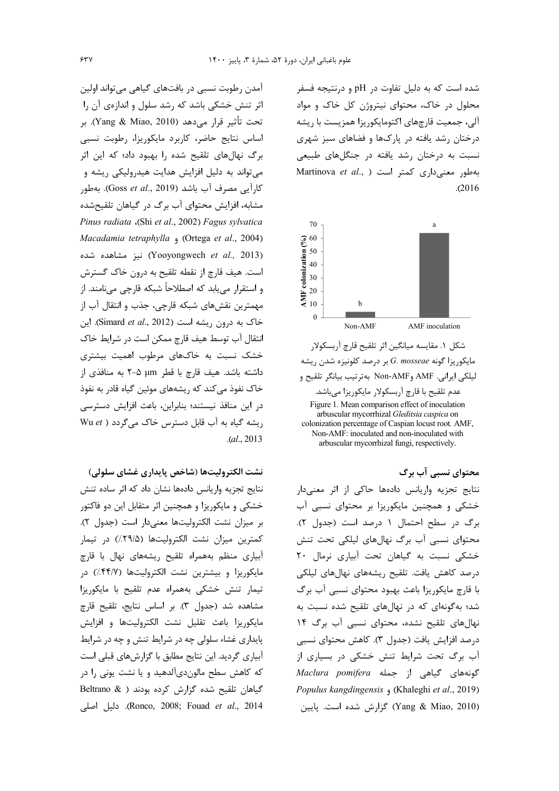شده است که به دلیل تفاوت در pH و درنتیجه فسفر محلول در خاک، محتوای نیتروژن کل خاک و مواد آلی، جمعیت قارچهای اکتومایکوریزا همزیست با ریشه درختان رشد یافته در پارکها و فضاهای سبز شهری نسبت به درختان رشد یافته در جنگلهای طبیعی Martinova et al., ) بهطور معنى دارى كمتر است  $. (2016)$ 



محتوای نسبی آب برگ

نتايج تجزيه واريانس دادهها حاكى از اثر معنىدار خشکی و همچنین مایکوریزا بر محتوای نسبی آب برگ در سطح احتمال ۱ درصد است (جدول ۲). محتوای نسبی آب برگ نهالهای لیلکی تحت تنش خشکی نسبت به گیاهان تحت آبیاری نرمال ٢٠ درصد كاهش يافت. تلقيح ريشههاى نهالهاى ليلكى با قارچ مایکوریزا باعث بهبود محتوای نسبی آب برگ شد؛ بهگونهای که در نهالهای تلقیح شده نسبت به نهال های تلقیح نشده، محتوای نسبی آب برگ ۱۴ درصد افزايش يافت (جدول ٣). كاهش محتواي نسبي آب برگ تحت شرایط تنش خشکی در بسیاری از Maclura pomifera حمله Maclura pomifera Populus kangdingensis , (Khaleghi et al., 2019) Yang & Miao, 2010) گزارش شده است. پايين

آمدن رطوبت نسبی در بافتهای گیاهی می تواند اولین اثر تنش خشکی باشد که رشد سلول و اندازهی آن را تحت تأثير قرار مي دهد (Yang & Miao, 2010). بر اساس نتايج حاضر، كاربرد مايكوريزا، رطوبت نسبى برگ نهالهای تلقیح شده را بهبود داد؛ که این اثر مي تواند به دليل افزايش هدايت هيدروليكي ريشه و كارآيي مصرف آب باشد (Goss *et al*., 2019). بهطور مشابه، افزایش محتوای آب برگ در گیاهان تلقیحشده Pinus radiata (Shi et al., 2002) Fagus sylvatica Macadamia tetraphylla , (Ortega et al., 2004) (Yooyongwech et al., 2013) نيز مشاهده شده است. هيف قارچ از نقطه تلقيح به درون خاک گسترش و استقرار می یابد که اصطلاحاً شبکه قارچی می نامند. از مهمترين نقشهاى شبكه قارچى، جذب و انتقال آب از خاک به درون ریشه است (Simard et al., 2012). این انتقال آب توسط هيف قارچ ممكن است در شرايط خاك خشک نسبت به خاکهای مرطوب اهمیت بیشتری داشته باشد. هيف قارچ با قطر µm ∆-۲ به منافذي از خاک نفوذ می کند که ریشههای موئین گیاه قادر به نفوذ در این منافذ نیستند؛ بنابراین، باعث افزایش دسترسی ریشه گیاه به آب قابل دسترس خاک میگردد ( Wu et  $. (al., 2013)$ 

نشت الكتروليتها (شاخص يايداري غشاي سلولي) نتايج تجزيه واريانس دادهها نشان داد كه اثر ساده تنش خشکی و مایکوریزا و همچنین اثر متقابل این دو فاکتور بر ميزان نشت الكتروليتها معنىدار است (جدول ٢). کمترین میزان نشت الکترولیتها (۲۹/۵٪) در تیمار آبیاری منظم بههمراه تلقیح ریشههای نهال با قارچ مایکوریزا و بیشترین نشت الکترولیتها (۴۴/۷٪) در تیمار تنش خشکی بههمراه عدم تلقیح با مایکوریزا مشاهده شد (جدول ٣). بر اساس نتايج، تلقيح قارچ مايكوريزا باعث تقليل نشت الكتروليتها و افزايش پایداری غشاء سلولی چه در شرایط تنش و چه در شرایط آبیاری گردید. این نتایج مطابق با گزارش های قبلی است که کاهش سطح مالون دیآلدهید و یا نشت یونی را در گیاهان تلقیح شده گزارش کرده بودند ( & Beltrano Ronco, 2008; Fouad et al., 2014). دليل اصلي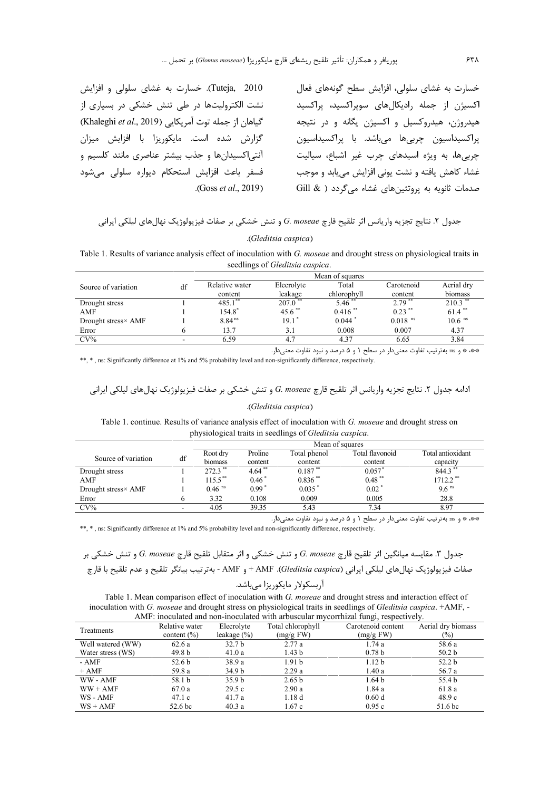Tuteja, 2010). خسارت به غشای سلولی و افزایش نشت الکترولیتها در طی تنش خشکی در بسیاری از گیاهان از جمله توت آمریکایی (Khaleghi et al., 2019) گزارش شده است. مایکوریزا با افزایش میزان آنتی|کسیدانها و جذب بیشتر عناصری مانند کلسیم و فسفر باعث افزایش استحکام دیواره سلولی می شود .(Goss *et al.*, 2019).

خسارت به غشای سلولی، افزایش سطح گونههای فعال اکسیژن از جمله رادیکالهای سوپراکسید، پراکسید هیدروژن، هیدروکسیل و اکسیژن یگانه و در نتیجه پراکسيداسيون چربيها ميباشد. با پراکسيداسيون چربی ها، به ویژه اسیدهای چرب غیر اشباع، سیالیت غشاء كاهش يافته و نشت يوني افزايش مي يابد و موجب صدمات ثانویه به پروتئینهای غشاء میگردد ( & Gill

جدول ٢. نتايج تجزيه واريانس اثر تلقيح قارچ G. moseae و تنش خشكي بر صفات فيزيولوژيک نهالهاي ليلكي ايراني

#### (Gleditsia caspica).

Table 1. Results of variance analysis effect of inoculation with G. moseae and drought stress on physiological traits in seedlings of Gleditsia caspica.

|                     |    | Mean of squares    |                     |                       |                       |                      |  |  |  |
|---------------------|----|--------------------|---------------------|-----------------------|-----------------------|----------------------|--|--|--|
| Source of variation | df | Relative water     | Elecrolyte          | Total                 | Carotenoid            | Aerial dry           |  |  |  |
|                     |    | content            | leakage             | chlorophyll           | content               | biomass              |  |  |  |
| Drought stress      |    | 485.1              | 207.0               | 5.46                  | 2.79                  | 210.3                |  |  |  |
| AMF                 |    | 154.8              | $45.6$ **           | $0.416$ <sup>**</sup> | $0.23$ **             | $61.4$ **            |  |  |  |
| Drought stress× AMF |    | 8.84 <sup>ns</sup> | $19.1$ <sup>*</sup> | 0.044                 | $0.018$ <sup>ns</sup> | $10.6$ <sup>ns</sup> |  |  |  |
| Error               |    | 13.7               | 3.1                 | 0.008                 | 0.007                 | 4.37                 |  |  |  |
| $CV\%$              |    | 6.59               | 4.7                 | 4.37                  | 6.65                  | 3.84                 |  |  |  |

\*\*\* \* و as بهترتيب تفاوت معنى دار در سطح ١ و ۵ درصد و نبود تفاوت معنى دار.

\*\*, \*, ns: Significantly difference at 1% and 5% probability level and non-significantly difference, respectively.

#### (Gleditsia caspica).

Table 1. continue. Results of variance analysis effect of inoculation with G. moseae and drought stress on physiological traits in seedlings of Gleditsia caspica.

|                     |    | Mean of squares       |           |                       |                 |                        |  |
|---------------------|----|-----------------------|-----------|-----------------------|-----------------|------------------------|--|
|                     |    | Root dry              | Proline   | Total phenol          | Total flavonoid | Total antioxidant      |  |
| Source of variation | df | biomass               | content   | content               | content         | capacity               |  |
| Drought stress      |    | $272.3$ **            | $4.64$ ** | $0.187$ **            | 0.057           | 844.3                  |  |
| AMF                 |    | $115.5$ <sup>**</sup> | $0.46*$   | $0.836$ <sup>**</sup> | $0.48$ **       | $1712.2$ <sup>**</sup> |  |
| Drought stress× AMF |    | $0.46$ <sup>ns</sup>  | $0.99*$   | 0.035                 | 0.02            | $9.6$ <sup>ns</sup>    |  |
| Error               |    | 3.32                  | 0.108     | 0.009                 | 0.005           | 28.8                   |  |
| $CV\%$              |    | 4.05                  | 39.35     | 5.43                  | 7.34            | 8.97                   |  |

\*\* \* و as بهترتیب تفاوت معنیدار در سطح ۱ و ۵ درصد و نبود تفاوت معنیدار.

\*\*, \*, ns: Significantly difference at 1% and 5% probability level and non-significantly difference, respectively.

جدول ٣. مقايسه ميانگين اثر تلقيح قارچ G. moseae و تنش خشكي و اثر متقابل تلقيح قارچ G. moseae و تنش خشكي بر صفات فيزيولوژيک نهالهاى ليلكي ايراني (Gleditsia caspica). AMF + و AMF - بهترتيب بيانگر تلقيح و عدم تلقيح با قارچ

Table 1. Mean comparison effect of inoculation with G. moseae and drought stress and interaction effect of inoculation with G. moseae and drought stress on physiological traits in seedlings of Gleditsia caspica. +AMF, -AMF: inoculated and non-inoculated with arbuscular mycorrhizal fungi, respectively.

| Treatments        | Relative water     | Elecrolyte        | Total chlorophyll | Carotenoid content | Aerial dry biomass |  |  |  |
|-------------------|--------------------|-------------------|-------------------|--------------------|--------------------|--|--|--|
|                   | content $(\% )$    | leakage $(\% )$   | (mg/g FW)         | (mg/g FW)          | $(\%)$             |  |  |  |
| Well watered (WW) | 62.6a              | 32.7 <sub>b</sub> | 2.77a             | 1.74a              | 58.6 a             |  |  |  |
| Water stress (WS) | 49.8 b             | 41.0a             | 1.43 <sub>b</sub> | 0.78 <sub>b</sub>  | 50.2 <sub>b</sub>  |  |  |  |
| - AMF             | 52.6 b             | 38.9a             | 1.91 <sub>b</sub> | 1.12 <sub>b</sub>  | 52.2 <sub>b</sub>  |  |  |  |
| $+ AMF$           | 59.8 a             | 34.9 <sub>b</sub> | 2.29a             | 1.40a              | 56.7 a             |  |  |  |
| WW - AMF          | 58.1 b             | 35.9 <sub>b</sub> | 2.65 <sub>b</sub> | 1.64 <sub>b</sub>  | 55.4 b             |  |  |  |
| $WW + AMF$        | 67.0a              | 29.5c             | 2.90a             | 1.84 a             | 61.8 a             |  |  |  |
| WS - AMF          | 47.1c              | 41.7 a            | 1.18d             | 0.60d              | 48.9c              |  |  |  |
| $WS + AMF$        | 52.6 <sub>bc</sub> | 40.3a             | 1.67c             | 0.95c              | 51.6 <sub>bc</sub> |  |  |  |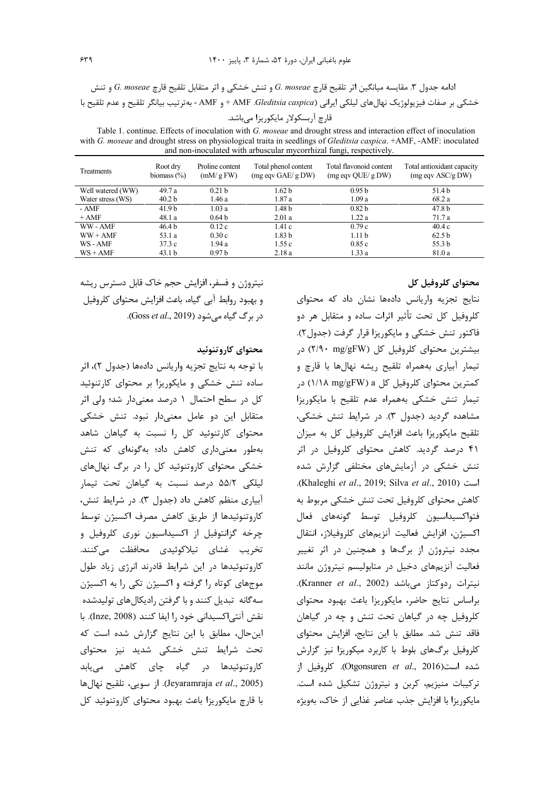ادامه جدول ٣. مقايسه ميانگين اثر تلقيح قارچ G. moseae و تنش خشكي و اثر متقابل تلقيح قارچ G. moseae و تنش خشكي بر صفات فيزيولوژيک نهالهاي ليلكي ايراني (AMF .Gleditsia caspica + و AMF - بهترتيب بيانگر تلقيح و عدم تلقيح با قارچ آربسکولار مایکوریزا میباشد.

Table 1. continue. Effects of inoculation with G. moseae and drought stress and interaction effect of inoculation with G. moseae and drought stress on physiological traita in seedlings of Gleditsia caspica. +AMF, -AMF: inoculated and non-inoculated with arbuscular mycorrhizal fungi, respectively.

| <b>Treatments</b> | Root dry<br>biomass $(\%)$ | Proline content<br>(mM/gFW) | Total phenol content<br>$(mg \text{eq} \vee \text{GAE}/g \text{DW})$ | Total flavonoid content<br>(mg eqv QUE/ g DW) | Total antioxidant capacity<br>$(mg \, \text{eqv} \, \text{ASC/g} \, \text{DW})$ |
|-------------------|----------------------------|-----------------------------|----------------------------------------------------------------------|-----------------------------------------------|---------------------------------------------------------------------------------|
| Well watered (WW) | 49.7 a                     | 0.21 <sub>b</sub>           | 1.62 <sub>b</sub>                                                    | 0.95 <sub>b</sub>                             | 51.4 b                                                                          |
| Water stress (WS) | 40.2 <sub>b</sub>          | 1.46 a                      | 1.87a                                                                | 1.09a                                         | 68.2 a                                                                          |
| - AMF             | 41.9 <sub>b</sub>          | 1.03a                       | 1.48 <sub>b</sub>                                                    | 0.82 <sub>b</sub>                             | 47.8 <sub>b</sub>                                                               |
| $+ AMF$           | 48.1 a                     | 0.64 <sub>b</sub>           | 2.01a                                                                | 1.22a                                         | 71.7 a                                                                          |
| WW-AMF            | 46.4 b                     | 0.12c                       | 1.41c                                                                | 0.79c                                         | 40.4c                                                                           |
| $WW + AMF$        | 53.1 a                     | 0.30c                       | 1.83 <sub>b</sub>                                                    | 1.11 <sub>b</sub>                             | 62.5 <sub>b</sub>                                                               |
| WS - AMF          | 37.3c                      | 1.94a                       | 1.55c                                                                | 0.85c                                         | 55.3 b                                                                          |
| $WS + AMF$        | 43.1 <sub>b</sub>          | 0.97 <sub>b</sub>           | 2.18a                                                                | 1.33a                                         | 81.0 a                                                                          |
|                   |                            |                             |                                                                      |                                               |                                                                                 |

## محتواي كلروفيل كل

نتايج تجزيه واريانس دادهها نشان داد كه محتواى کلروفیل کل تحت تأثیر اثرات ساده و متقابل هر دو فاکتور تنش خشکی و مایکوریزا قرار گرفت (جدول۲). بیشترین محتوای کلروفیل کل (۲/۹۰ mg/gFW) در تیمار آبیاری بههمراه تلقیح ریشه نهالها با قارچ و کمترین محتوای کلروفیل کل ۱/۱۸ mg/gFW) در تیمار تنش خشکی بههمراه عدم تلقیح با مایکوریزا مشاهده گردید (جدول ۳). در شرایط تنش خشکی، تلقیح مایکوریزا باعث افزایش کلروفیل کل به میزان ۴۱ درصد گردید. کاهش محتوای کلروفیل در اثر تنش خشکی در آزمایشهای مختلفی گزارش شده .(Khaleghi et al., 2019; Silva et al., 2010). كاهش محتواي كلروفيل تحت تنش خشكي مربوط به فتواكسيداسيون كلروفيل توسط گونههاى فعال اكسيژن، افزايش فعاليت آنزيمهاي كلروفيلاز، انتقال مجدد نیتروژن از برگها و همچنین در اثر تغییر فعالیت آنزیمهای دخیل در متابولیسم نیتروژن مانند نيترات , دوكتاز مي باشد (Kranner et al., 2002). براساس نتايج حاضر، مايكوريزا باعث بهبود محتواى کلروفیل چه در گیاهان تحت تنش و چه در گیاهان فاقد تنش شد. مطابق با این نتایج، افزایش محتوای کلروفیل برگهای بلوط با کاربرد میکوریزا نیز گزارش شده است(Otgonsuren et al., 2016). كلروفيل از ترکیبات منیزیم، کربن و نیتروژن تشکیل شده است. مایکوریزا با افزایش جذب عناصر غذایی از خاک، بهویژه

نیتروژن و فسفر، افزایش حجم خاک قابل دسترس ریشه و بهبود روابط آبی گیاه، باعث افزایش محتوای کلروفیل د<sub>ر</sub> ہرگ گیاہ مے شود (Goss *et al.*, 2019).

## محتواي كاروتنوئيد

با توجه به نتايج تجزيه واريانس دادهها (جدول ٢)، اثر ساده تنش خشکی و مایکوریزا بر محتوای کارتنوئید کل در سطح احتمال ۱ درصد معنیدار شد؛ ولی اثر متقابل این دو عامل معنیدار نبود. تنش خشکی محتوای کارتنوئید کل را نسبت به گیاهان شاهد بهطور معنیداری کاهش داد؛ بهگونهای که تنش خشکی محتوای کاروتنوئید کل را در برگ نهالهای ليلكي ۵۵/۲ درصد نسبت به گياهان تحت تيمار آبیاری منظم کاهش داد (جدول ۳). در شرایط تنش، كاروتنوئيدها از طريق كاهش مصرف اكسيژن توسط چرخه گزانتوفیل از اکسیداسیون نوری کلروفیل و تخریب غشای تیلاکوئیدی محافظت مے کنند. کاروتنوئیدها در این شرایط قادرند انرژی زیاد طول موجهای کوتاه را گرفته و اکسیژن تکی را به اکسیژن سه گانه تبدیل کنند و با گرفتن رادیکالهای تولیدشده نقش آنتي|كسيداني خود را ايفا كنند (Inze, 2008). با این حال، مطابق با این نتایج گزارش شده است که تحت شرایط تنش خشکی شدید نیز محتوای کاروتنوئیدها در گیاه چای کاهش مییابد (Jeyaramraja et al., 2005). از سویی، تلقیح نهال ها با قارچ مایکوریزا باعث بهبود محتوای کاروتنوئید کل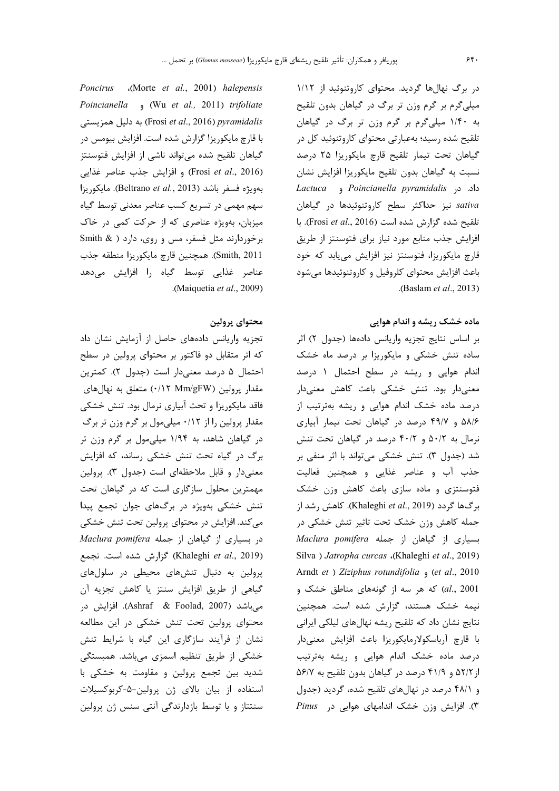در برگ نهالها گردید. محتوای کاروتنوئید از ۱/۱۲ میلیگرم بر گرم وزن تر برگ در گیاهان بدون تلقیح به ۱/۴۰ میلیگرم بر گرم وزن تر برگ در گیاهان تلقیح شده رسید؛ بهعبارتی محتوای کاروتنوئید کل در گیاهان تحت تیمار تلقیح قارچ مایکوریزا ۲۵ درصد نسبت به گیاهان بدون تلقیح مایکوریزا افزایش نشان داد. در Poincianella pyramidalis و Lactuca sativa نيز حداكثر سطح كاروتنوئيدها در گياهان تلقيح شده گزارش شده است (Frosi et al., 2016). با افزایش جذب منابع مورد نیاز برای فتوسنتز از طریق قارچ مایکوریزا، فتوسنتز نیز افزایش مییابد که خود باعث افزایش محتوای کلروفیل و کاروتنوئیدها میشود (Baslam et al., 2013).

## ماده خشک ریشه و اندام هوایی

بر اساس نتايج تجزيه واريانس دادهها (جدول ٢) اثر ساده تنش خشکی و مایکوریزا بر درصد ماه خشک اندام هوایی و ریشه در سطح احتمال ۱ درصد معنیدار بود. تنش خشکی باعث کاهش معنیدار درصد ماده خشک اندام هوایی و ریشه بهترتیب از ۵۸/۶ و ۴۹/۷ درصد در گیاهان تحت تیمار آبیاری نرمال به ۵۰/۲ و ۴۰/۲ درصد در گیاهان تحت تنش شد (جدول ٣). تنش خشكي مي¤واند با اثر منفي بر جذب آب و عناصر غذايي و همچنين فعاليت فتوسنتزی و ماده سازی باعث کاهش وزن خشک برگها گردد (Khaleghi et al., 2019). كاهش رشد از جمله کاهش وزن خشک تحت تاثیر تنش خشکی در Maclura pomifera بسياري از مجمله Maclura pomifera Silva ) Jatropha curcas .(Khaleghi et al., 2019) Arndt et ) Ziziphus rotundifolia , (et al., 2010 al., 2001) که هر سه از گونههای مناطق خشک و نیمه خشک هستند، گزارش شده است. همچنین نتایج نشان داد که تلقیح ریشه نهال های لیلکی ایرانی با قارچ آرباسکولارمایکوریزا باعث افزایش معنیدار درصد ماده خشک اندام هوایی و ریشه بهترتیب از ۵۲/۲ و ۴۱/۹ درصد در گیاهان بدون تلقیح به ۵۶/۷ و ۴۸/۱ درصد در نهالهای تلقیح شده، گردید (جدول ۳). افزایش وزن خشک اندامهای هوایی در Pinus

Poncirus (Morte et al., 2001) halepensis Poincianella , (Wu et al., 2011) trifoliate Frosi et al., 2016) pyramidalis) به دليل همزيستي با قارچ مایکوریزا گزارش شده است. افزایش بیومس در گیاهان تلقیح شده میتواند ناشی از افزایش فتوسنتز (Frosi et al., 2016) و افزايش جذب عناصر غذايي بهويژه فسفر باشد (Beltrano et al., 2013). مايكوريزا سهم مهمی در تسریع کسب عناصر معدنی توسط گیاه میزبان، بهویژه عناصری که از حرکت کمی در خاک برخوردارند مثل فسفر، مس و روى، دارد ( Smith & Smith, 2011). همچنين قارچ مايكوريزا منطقه جذب عناصر غذایی توسط گیاه را افزایش میدهد .(Maiquetía et al., 2009).

## محتواي پرولين

تجزیه واریانس دادههای حاصل از آزمایش نشان داد که اثر متقابل دو فاکتور بر محتوای پرولین در سطح احتمال ۵ درصد معنىدار است (جدول ۲). كمترين مقدار پرولین (۱۲ Mm/gFW) متعلق به نهالهای فاقد مایکوریزا و تحت آبیاری نرمال بود. تنش خشکی مقدار پرولین را از ۰/۱۲ میلیمول بر گرم وزن تر برگ در گیاهان شاهد، به ۱/۹۴ میلی مول بر گرم وزن تر برگ در گیاه تحت تنش خشکی رساند، که افزایش معنی دار و قابل ملاحظهای است (جدول ۳). پرولین مهمترین محلول سازگاری است که در گیاهان تحت تنش خشکی بهویژه در برگهای جوان تجمع پیدا می کند. افزایش در محتوای پرولین تحت تنش خشکی در بسیاری از گیاهان از جمله Maclura pomifera (Khaleghi et al., 2019) گزارش شده است. تجمع پرولین به دنبال تنشهای محیطی در سلولهای گیاهی از طریق افزایش سنتز یا کاهش تجزیه آن میباشد (Ashraf & Foolad, 2007). افزایش در محتوای پرولین تحت تنش خشکی در این مطالعه نشان از فرآیند سازگاری این گیاه با شرایط تنش خشکی از طریق تنظیم اسمزی میباشد. همبستگی شدید بین تجمع پرولین و مقاومت به خشکی با استفاده از بیان بالای ژن پرولین-۵-کربوکسیلات سنتتاز و یا توسط بازدارندگی آنتی سنس ژن پرولین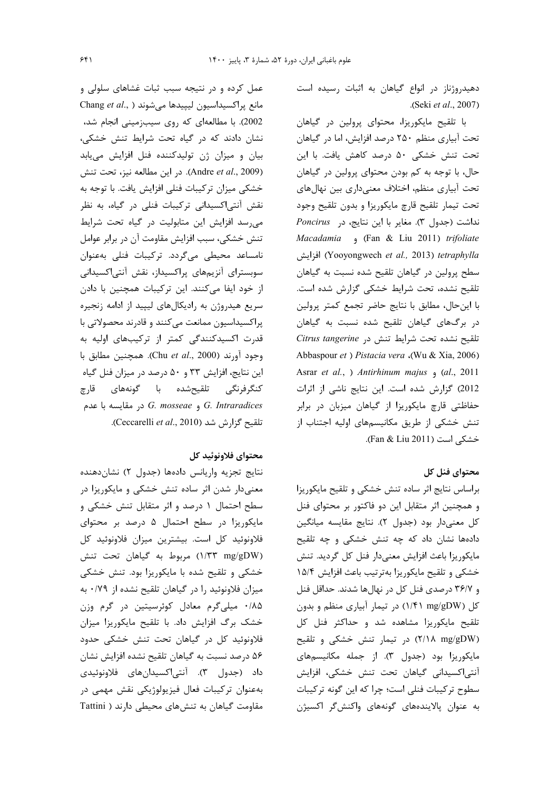دهیدروژناز در انواع گیاهان به اثبات رسیده است .(Seki et al., 2007)

با تلقیح مایکوریزا، محتوای پرولین در گیاهان تحت آبیاری منظم ۲۵۰ درصد افزایش، اما در گیاهان تحت تنش خشکی ۵۰ درصد کاهش یافت. با این حال، با توجه به کم بودن محتوای پرولین در گیاهان تحت أبياري منظم، اختلاف معنىداري بين نهالهاي تحت تيمار تلقيح قارچ مايكوريزا و بدون تلقيح وجود نداشت (جدول ٣). مغاير با اين نتايج، در Poncirus Macadamia (Fan & Liu 2011) trifoliate (Yooyongwech et al., 2013) tetraphylla افزايش سطح پرولین در گیاهان تلقیح شده نسبت به گیاهان تلقيح نشده، تحت شرايط خشكى كزارش شده است. با این حال، مطابق با نتایج حاضر تجمع کمتر پرولین در برگهای گیاهان تلقیح شده نسبت به گیاهان تلقيح نشده تحت شرايط تنش در Citrus tangerine Abbaspour et ) Pistacia vera .(Wu & Xia, 2006) Asrar et al., ) Antirhinum majus , (al., 2011 2012) گزارش شده است. این نتایج ناشی از اثرات حفاظتی قارچ مایکوریزا از گیاهان میزبان در برابر تنش خشکی از طریق مکانیسمهای اولیه اجتناب از خشكى است (Fan & Liu 2011).

## محتواي فنل كل

براساس نتايج اثر ساده تنش خشكى و تلقيح مايكوريزا و همچنین اثر متقابل این دو فاکتور بر محتوای فنل كل معنىدار بود (جدول ٢). نتايج مقايسه ميانگين دادهها نشان داد که چه تنش خشکی و چه تلقیح مايكوريزا باعث افزايش معنىدار فنل كل گرديد. تنش خشکی و تلقیح مایکوریزا بهترتیب باعث افزایش ۱۵/۴ و ۳۶/۷ درصدی فنل کل در نهالها شدند. حداقل فنل کل (۱/۴۱ mg/gDW) در تیمار آبیاری منظم و بدون تلقیح مایکوریزا مشاهده شد و حداکثر فنل کل (٢/١٨ mg/gDW) در تيمار تنش خشكى و تلقيح مایکوریزا بود (جدول ۳). از جمله مکانیسمهای آنتی|کسیدانی گیاهان تحت تنش خشکی، افزایش سطوح تركيبات فنلي است؛ چرا كه اين گونه تركيبات به عنوان پالایندههای گونههای واکنشگر اکسیژن

عمل کرده و در نتیجه سبب ثبات غشاهای سلولی و Chang et al., ) مانع پراکسیداسیون لیپیدها میشوند 2002). با مطالعهای که روی سیبزمینی انجام شد، نشان دادند که در گیاه تحت شرایط تنش خشکی، بیان و میزان ژن تولیدکننده فنل افزایش مییابد (Andre et al., 2009). در این مطالعه نیز، تحت تنش خشکی میزان ترکیبات فنلی افزایش یافت. با توجه به نقش آنتی|کسیدانی ترکیبات فنلی در گیاه، به نظر می رسد افزایش این متابولیت در گیاه تحت شرایط تنش خشکی، سبب افزایش مقاومت آن در برابر عوامل نامساعد محیطی میگردد. ترکیبات فنلی بهعنوان سوبسترای آنزیمهای پراکسیداز، نقش آنتیاکسیدانی از خود ایفا میکنند. این ترکیبات همچنین با دادن سریع هیدروژن به رادیکالهای لیپید از ادامه زنجیره پراکسیداسیون ممانعت میکنند و قادرند محصولاتی با قدرت اکسیدکنندگی کمتر از ترکیبهای اولیه به وجود آورند (Chu et al., 2000). همچنین مطابق با این نتایج، افزایش ۳۳ و ۵۰ درصد در میزان فنل گیاه كنگرفرنگى تلقيحشده با گونههاى قارچ و G. Intraradices و G. mosseae در مقايسه با عدم .(Ceccarelli et al., 2010). (Ceccarelli et al., 2010).

### محتواي فلاونوئيد كل

نتايج تجزيه واريانس دادهها (جدول ٢) نشان دهنده معنیدار شدن اثر ساده تنش خشکی و مایکوریزا در سطح احتمال ۱ درصد و اثر متقابل تنش خشکی و مایکوریزا در سطح احتمال ۵ درصد بر محتوای فلاونوئید کل است. بیشترین میزان فلاونوئید کل (١/٣٣ mg/gDW) مربوط به گیاهان تحت تنش خشکی و تلقیح شده با مایکوریزا بود. تنش خشکی میزان فلاونوئید را در گیاهان تلقیح نشده از ۰/۷۹ به ۰/۸۵ میلیگرم معادل کوئرسیتین در گرم وزن خشک برگ افزایش داد. با تلقیح مایکوریزا میزان فلاونوئید کل در گیاهان تحت تنش خشکی حدود ۵۶ درصد نسبت به گیاهان تلقیح نشده افزایش نشان داد (جدول ۳). آنتی|کسیدانهای فلاونوئیدی به عنوان تركيبات فعال فيزيولوژيكي نقش مهمي در مقاومت گیاهان به تنش های محیطی دارند ( Tattini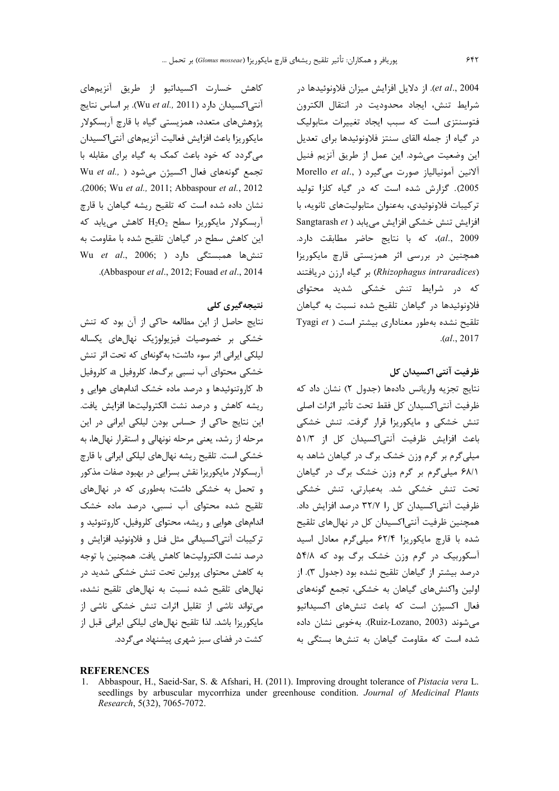et al., 2004). از دلایل افزایش میزان فلاونوئیدها در شرايط تنش، ايجاد محدوديت در انتقال الكترون فتوسنتزی است که سبب ایجاد تغییرات متابولیک د, گیاه از جمله القای سنتز فلاونوئیدها برای تعدیل این وضعیت میشود. این عمل از طریق آنزیم فنیل Morello et al., ) الانين آمونيالياز صورت مى كيرد 2005). گزارش شده است که در گیاه کلزا تولید تركيبات فلاونوئيدي، بەعنوان متابوليتهاي ثانويه، با Sangtarash et ) افزایش می یابد al., 2009)، كه با نتايج حاضر مطابقت دارد. همچنین در بررسی اثر همزیستی قارچ مایکوریزا (Rhizophagus intraradices) بر گیاه ارزن دریافتند که در شرایط تنش خشکی شدید محتوای فلاونوئیدها در گیاهان تلقیح شده نسبت به گیاهان Tyagi et ) تلقیح نشده بهطور معناداری بیشتر است  $. (al., 2017)$ 

### ظرفیت آنتی اکسیدان کل

نتايج تجزيه واريانس دادهها (جدول ٢) نشان داد كه ظرفيت آنتي|كسيدان كل فقط تحت تأثير اثرات اصلي تنش خشکی و مایکوریزا قرار گرفت. تنش خشکی باعث افزایش ظرفیت آنتی اکسیدان کل از ۵۱/۳ میلی گرم بر گرم وزن خشک برگ در گیاهان شاهد به ۶۸/۱ میلی گرم بر گرم وزن خشک برگ در گیاهان تحت تنش خشکی شد. بهعبارتی، تنش خشکی ظرفیت آنتیاکسیدان کل را ۳۲/۷ درصد افزایش داد. همچنین ظرفیت آنتی|کسیدان کل در نهالهای تلقیح شده با قارچ مایکوریزا ۶۲/۴ میلی گرم معادل اسید آسکوربیک در گرم وزن خشک برگ بود که ۵۴/۸ درصد بيشتر از گياهان تلقيح نشده بود (جدول ٣). از اولین واکنشهای گیاهان به خشکی، تجمع گونههای فعال اکسیژن است که باعث تنشهای اکسیداتیو می شوند (Ruiz-Lozano, 2003). بهخوبی نشان داده شده است که مقاومت گیاهان به تنشها بستگی به

کاهش خسارت اکسیداتیو از طریق آنزیمهای آنتی اکسیدان دارد (Wu et al., 2011). بر اساس نتایج پژوهشهای متعدد، همزیستی گیاه با قارچ آربسکولار مايكوريزا باعث افزايش فعاليت آنزيمهاي آنتي|كسيدان می گردد که خود باعث کمک به گیاه برای مقابله با Wu et al., ) تجمع گونههای فعال اکسیژن می شود .(2006; Wu et al., 2011; Abbaspour et al., 2012 نشان داده شده است که تلقیح ریشه گیاهان با قارچ  $H_2O_2$  آربسکولار مایکوریزا سطح  $H_2O_2$  کاهش مییابد که این کاهش سطح در گیاهان تلقیح شده با مقاومت به Wu *et al.,* 2006; تنشها همبستگی دارد .(Abbaspour et al., 2012; Fouad et al., 2014

### نتىجەگىرى كلى

نتايج حاصل از اين مطالعه حاكي از آن بود كه تنش خشکی بر خصوصیات فیزیولوژیک نهالهای یکساله لیلکی ایرانی اثر سوء داشت؛ بهگونهای که تحت اثر تنش خشکی محتوای آب نسبی برگها، کلروفیل a، کلروفیل b، کاروتنوئیدها و درصد ماده خشک اندامهای هوایی و ريشه كاهش و درصد نشت الكتروليتها افزايش يافت. این نتایج حاکی از حساس بودن لیلکی ایرانی در این مرحله از رشد، یعنی مرحله نونهالی و استقرار نهالها، به خشکی است. تلقیح ریشه نهالهای لیلکی ایرانی با قارچ آربسکولار مایکوریزا نقش بسزایی در بهبود صفات مذکور و تحمل به خشکی داشت؛ بهطوری که در نهالهای تلقیح شده محتوای آب نسبی، درصد ماده خشک اندامهای هوایی و ریشه، محتوای کلروفیل، کاروتنوئید و ترکیبات آنتی|کسیدانی مثل فنل و فلاونوئید افزایش و درصد نشت الكتروليتها كاهش يافت. همچنين با توجه به کاهش محتوای پرولین تحت تنش خشکی شدید در نهالهای تلقیح شده نسبت به نهالهای تلقیح نشده، می تواند ناشی از تقلیل اثرات تنش خشکی ناشی از مایکوریزا باشد. لذا تلقیح نهالهای لیلکی ایرانی قبل از کشت در فضای سبز شهری پیشنهاد میگردد.

#### **REFERENCES**

1. Abbaspour, H., Saeid-Sar, S. & Afshari, H. (2011). Improving drought tolerance of Pistacia vera L. seedlings by arbuscular mycorrhiza under greenhouse condition. Journal of Medicinal Plants Research, 5(32), 7065-7072.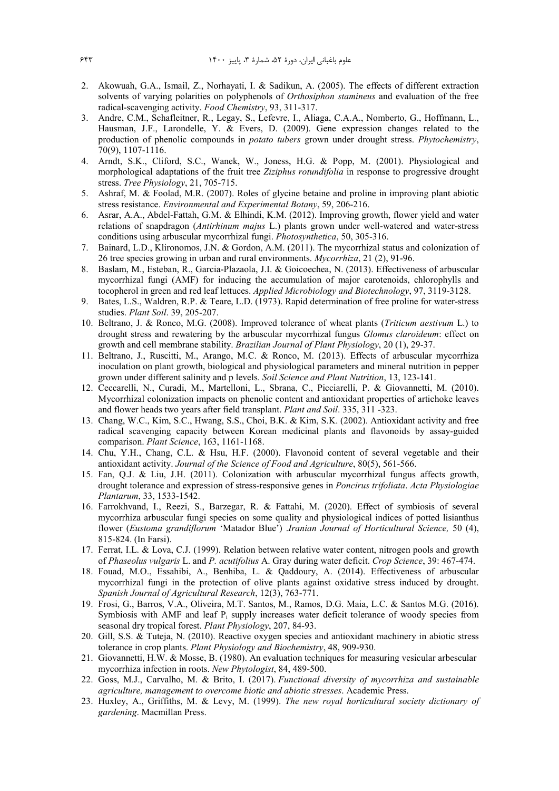- 2. Akowuah, G.A., Ismail, Z., Norhayati, I. & Sadikun, A. (2005). The effects of different extraction solvents of varying polarities on polyphenols of *Orthosiphon stamineus* and evaluation of the free radical-scavenging activity. *Food Chemistry*, 93, 311-317.
- 3. Andre, C.M., Schafleitner, R., Legay, S., Lefevre, I., Aliaga, C.A.A., Nomberto, G., Hoffmann, L., Hausman, J.F., Larondelle, Y. & Evers, D. (2009). Gene expression changes related to the production of phenolic compounds in *potato tubers* grown under drought stress. *Phytochemistry*, 70(9), 1107-1116.
- 4. Arndt, S.K., Cliford, S.C., Wanek, W., Joness, H.G. & Popp, M. (2001). Physiological and morphological adaptations of the fruit tree *Ziziphus rotundifolia* in response to progressive drought stress. *Tree Physiology*, 21, 705-715.
- 5. Ashraf, M. & Foolad, M.R. (2007). Roles of glycine betaine and proline in improving plant abiotic stress resistance. *Environmental and Experimental Botany*, 59, 206-216.
- 6. Asrar, A.A., Abdel-Fattah, G.M. & Elhindi, K.M. (2012). Improving growth, flower yield and water relations of snapdragon (*Antirhinum majus* L.) plants grown under well-watered and water-stress conditions using arbuscular mycorrhizal fungi. *Photosynthetica*, 50, 305-316.
- 7. Bainard, L.D., Klironomos, J.N. & Gordon, A.M. (2011). The mycorrhizal status and colonization of 26 tree species growing in urban and rural environments. *Mycorrhiza*, 21 (2), 91-96.
- 8. Baslam, M., Esteban, R., Garcia-Plazaola, J.I. & Goicoechea, N. (2013). Effectiveness of arbuscular mycorrhizal fungi (AMF) for inducing the accumulation of major carotenoids, chlorophylls and tocopherol in green and red leaf lettuces. *Applied Microbiology and Biotechnology*, 97, 3119-3128.
- 9. Bates, L.S., Waldren, R.P. & Teare, L.D. (1973). Rapid determination of free proline for water-stress studies. *Plant Soil*. 39, 205-207.
- 10. Beltrano, J. & Ronco, M.G. (2008). Improved tolerance of wheat plants (*Triticum aestivum* L.) to drought stress and rewatering by the arbuscular mycorrhizal fungus *Glomus claroideum*: effect on growth and cell membrane stability. *Brazilian Journal of Plant Physiology*, 20 (1), 29-37.
- 11. Beltrano, J., Ruscitti, M., Arango, M.C. & Ronco, M. (2013). Effects of arbuscular mycorrhiza inoculation on plant growth, biological and physiological parameters and mineral nutrition in pepper grown under different salinity and p levels. *Soil Science and Plant Nutrition*, 13, 123-141.
- 12. Ceccarelli, N., Curadi, M., Martelloni, L., Sbrana, C., Picciarelli, P. & Giovannetti, M. (2010). Mycorrhizal colonization impacts on phenolic content and antioxidant properties of artichoke leaves and flower heads two years after field transplant. *Plant and Soil*. 335, 311 -323.
- 13. Chang, W.C., Kim, S.C., Hwang, S.S., Choi, B.K. & Kim, S.K. (2002). Antioxidant activity and free radical scavenging capacity between Korean medicinal plants and flavonoids by assay-guided comparison. *Plant Science*, 163, 1161-1168.
- 14. Chu, Y.H., Chang, C.L. & Hsu, H.F. (2000). Flavonoid content of several vegetable and their antioxidant activity. *Journal of the Science of Food and Agriculture*, 80(5), 561-566.
- 15. Fan, Q.J. & Liu, J.H. (2011). Colonization with arbuscular mycorrhizal fungus affects growth, drought tolerance and expression of stress-responsive genes in *Poncirus trifoliata*. *Acta Physiologiae Plantarum*, 33, 1533-1542.
- 16. Farrokhvand, I., Reezi, S., Barzegar, R. & Fattahi, M. (2020). Effect of symbiosis of several mycorrhiza arbuscular fungi species on some quality and physiological indices of potted lisianthus flower (*Eustoma grandiflorum* 'Matador Blue') .*Iranian Journal of Horticultural Science,* 50 (4), 815-824. (In Farsi).
- 17. Ferrat, I.L. & Lova, C.J. (1999). Relation between relative water content, nitrogen pools and growth of *Phaseolus vulgaris* L. and *P. acutifolius* A. Gray during water deficit. *Crop Science*, 39: 467-474.
- 18. Fouad, M.O., Essahibi, A., Benhiba, L. & Qaddoury, A. (2014). Effectiveness of arbuscular mycorrhizal fungi in the protection of olive plants against oxidative stress induced by drought. *Spanish Journal of Agricultural Research*, 12(3), 763-771.
- 19. Frosi, G., Barros, V.A., Oliveira, M.T. Santos, M., Ramos, D.G. Maia, L.C. & Santos M.G. (2016). Symbiosis with AMF and leaf P<sub>i</sub> supply increases water deficit tolerance of woody species from seasonal dry tropical forest. *Plant Physiology*, 207, 84-93.
- 20. Gill, S.S. & Tuteja, N. (2010). Reactive oxygen species and antioxidant machinery in abiotic stress tolerance in crop plants. *Plant Physiology and Biochemistry*, 48, 909-930.
- 21. Giovannetti, H.W. & Mosse, B. (1980). An evaluation techniques for measuring vesicular arbescular mycorrhiza infection in roots. *New Phytologist*, 84, 489-500.
- 22. Goss, M.J., Carvalho, M. & Brito, I. (2017). *Functional diversity of mycorrhiza and sustainable agriculture, management to overcome biotic and abiotic stresses*. Academic Press.
- 23. Huxley, A., Griffiths, M. & Levy, M. (1999). *The new royal horticultural society dictionary of gardening*. Macmillan Press.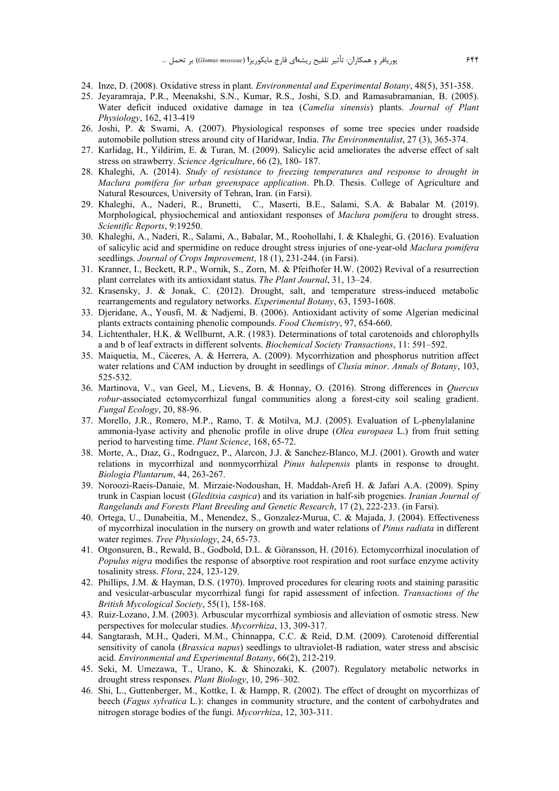- 24. Inze, D. (2008). Oxidative stress in plant. *Environmental and Experimental Botany*, 48(5), 351-358.
- 25. Jeyaramraja, P.R., Meenakshi, S.N., Kumar, R.S., Joshi, S.D. and Ramasubramanian, B. (2005). Water deficit induced oxidative damage in tea (*Camelia sinensis*) plants. *Journal of Plant Physiology*, 162, 413-419
- 26. Joshi, P. & Swami, A. (2007). Physiological responses of some tree species under roadside automobile pollution stress around city of Haridwar, India. *The Environmentalist*, 27 (3), 365-374.
- 27. Karlidag, H., Yildirim, E. & Turan, M. (2009). Salicylic acid ameliorates the adverse effect of salt stress on strawberry. *Science Agriculture*, 66 (2), 180- 187.
- 28. Khaleghi, A. (2014). *Study of resistance to freezing temperatures and response to drought in Maclura pomifera for urban greenspace application*. Ph.D. Thesis. College of Agriculture and Natural Resources, University of Tehran, Iran. (in Farsi).
- 29. Khaleghi, A., Naderi, R., Brunetti, C., Maserti, B.E., Salami, S.A. & Babalar M. (2019). Morphological, physiochemical and antioxidant responses of *Maclura pomifera* to drought stress. *Scientific Reports*, 9:19250.
- 30. Khaleghi, A., Naderi, R., Salami, A., Babalar, M., Roohollahi, I. & Khaleghi, G. (2016). Evaluation of salicylic acid and spermidine on reduce drought stress injuries of one-year-old *Maclura pomifera* seedlings. *Journal of Crops Improvement*, 18 (1), 231-244. (in Farsi).
- 31. Kranner, I., Beckett, R.P., Wornik, S., Zorn, M. & Pfeifhofer H.W. (2002) Revival of a resurrection plant correlates with its antioxidant status. *The Plant Journal*, 31, 13–24.
- 32. Krasensky, J. & Jonak, C. (2012). Drought, salt, and temperature stress-induced metabolic rearrangements and regulatory networks. *Experimental Botany*, 63, 1593-1608.
- 33. Djeridane, A., Yousfi, M. & Nadjemi, B. (2006). Antioxidant activity of some Algerian medicinal plants extracts containing phenolic compounds. *Food Chemistry*, 97, 654-660.
- 34. Lichtenthaler, H.K. & Wellburnt, A.R. (1983). Determinations of total carotenoids and chlorophylls a and b of leaf extracts in different solvents. *Biochemical Society Transactions*, 11: 591–592.
- 35. Maiquetía, M., Cáceres, A. & Herrera, A. (2009). Mycorrhization and phosphorus nutrition affect water relations and CAM induction by drought in seedlings of *Clusia minor*. *Annals of Botany*, 103, 525-532.
- 36. Martinova, V., van Geel, M., Lievens, B. & Honnay, O. (2016). Strong differences in *Quercus robur*-associated ectomycorrhizal fungal communities along a forest-city soil sealing gradient. *Fungal Ecology*, 20, 88-96.
- 37. Morello, J.R., Romero, M.P., Ramo, T. & Motilva, M.J. (2005). Evaluation of L-phenylalanine ammonia-lyase activity and phenolic profile in olive drupe (*Olea europaea* L.) from fruit setting period to harvesting time. *Plant Science*, 168, 65-72.
- 38. Morte, A., Dıaz, G., Rodrıguez, P., Alarcon, J.J. & Sanchez-Blanco, M.J. (2001). Growth and water relations in mycorrhizal and nonmycorrhizal *Pinus halepensis* plants in response to drought. *Biologia Plantarum*, 44, 263-267.
- 39. Noroozi-Raeis-Danaie, M. Mirzaie-Nodoushan, H. Maddah-Arefi H. & Jafari A.A. (2009). Spiny trunk in Caspian locust (*Gleditsia caspica*) and its variation in half-sib progenies. *Iranian Journal of Rangelands and Forests Plant Breeding and Genetic Research*, 17 (2), 222-233. (in Farsi).
- 40. Ortega, U., Dunabeitia, M., Menendez, S., Gonzalez-Murua, C. & Majada, J. (2004). Effectiveness of mycorrhizal inoculation in the nursery on growth and water relations of *Pinus radiata* in different water regimes. *Tree Physiology*, 24, 65-73.
- 41. Otgonsuren, B., Rewald, B., Godbold, D.L. & Göransson, H. (2016). Ectomycorrhizal inoculation of *Populus nigra* modifies the response of absorptive root respiration and root surface enzyme activity tosalinity stress. *Flora*, 224, 123-129.
- 42. Phillips, J.M. & Hayman, D.S. (1970). Improved procedures for clearing roots and staining parasitic and vesicular-arbuscular mycorrhizal fungi for rapid assessment of infection. *Transactions of the British Mycological Society*, 55(1), 158-168.
- 43. Ruiz-Lozano, J.M. (2003). Arbuscular mycorrhizal symbiosis and alleviation of osmotic stress. New perspectives for molecular studies. *Mycorrhiza*, 13, 309-317.
- 44. Sangtarash, M.H., Qaderi, M.M., Chinnappa, C.C. & Reid, D.M. (2009). Carotenoid differential sensitivity of canola (*Brassica napus*) seedlings to ultraviolet-B radiation, water stress and abscisic acid. *Environmental and Experimental Botany*, 66(2), 212-219.
- 45. Seki, M. Umezawa, T., Urano, K. & Shinozaki, K. (2007). Regulatory metabolic networks in drought stress responses. *Plant Biology*, 10, 296–302.
- 46. Shi, L., Guttenberger, M., Kottke, I. & Hampp, R. (2002). The effect of drought on mycorrhizas of beech (*Fagus sylvatica* L.): changes in community structure, and the content of carbohydrates and nitrogen storage bodies of the fungi. *Mycorrhiza*, 12, 303-311.